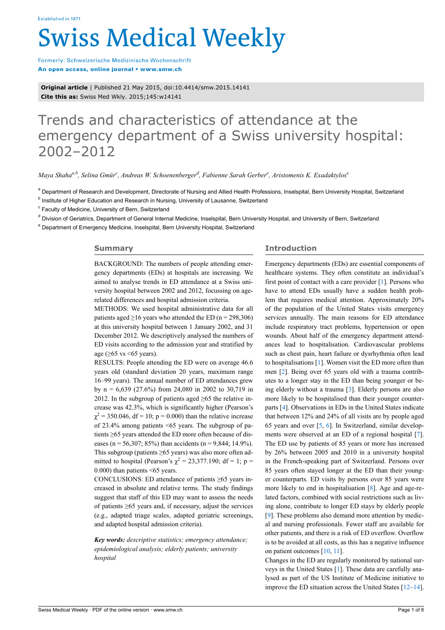# **Swiss Medical Weekly**

Formerly: Schweizerische Medizinische Wochenschrift An open access, online journal • www.smw.ch

**Original article** | Published 21 May 2015, doi:10.4414/smw.2015.14141 **Cite this as:** Swiss Med Wkly. 2015;145:w14141

# Trends and characteristics of attendance at the emergency department of a Swiss university hospital: 2002–2012

*Maya Shahaa,b, Selina Gmür<sup>c</sup> , Andreas W. Schoenenberger<sup>d</sup> , Fabienne Sarah Gerber<sup>e</sup> , Aristomenis K. Exadaktylos<sup>e</sup>*

<sup>a</sup> Department of Research and Development, Directorate of Nursing and Allied Health Professions, Inselspital, Bern University Hospital, Switzerland

<sup>b</sup> Institute of Higher Education and Research in Nursing, University of Lausanne, Switzerland

<sup>c</sup> Faculty of Medicine, University of Bern, Switzerland

<sup>d</sup> Division of Geriatrics, Department of General Internal Medicine, Inselspital, Bern University Hospital, and University of Bern, Switzerland

<sup>e</sup> Department of Emergency Medicine, Inselspital, Bern University Hospital, Switzerland

## **Summary**

BACKGROUND: The numbers of people attending emergency departments (EDs) at hospitals are increasing. We aimed to analyse trends in ED attendance at a Swiss university hospital between 2002 and 2012, focussing on agerelated differences and hospital admission criteria.

METHODS: We used hospital administrative data for all patients aged >16 years who attended the ED ( $n = 298,306$ ) at this university hospital between 1 January 2002, and 31 December 2012. We descriptively analysed the numbers of ED visits according to the admission year and stratified by age ( $\geq 65$  vs <65 years).

RESULTS: People attending the ED were on average 46.6 years old (standard deviation 20 years, maximum range 16‒99 years). The annual number of ED attendances grew by  $n = 6,639$  (27.6%) from 24,080 in 2002 to 30,719 in 2012. In the subgroup of patients aged  $\geq 65$  the relative increase was 42.3%, which is significantly higher (Pearson's  $\chi^2$  = 350.046, df = 10; p = 0.000) than the relative increase of 23.4% among patients <65 years. The subgroup of patients ≥65 years attended the ED more often because of diseases (n = 56,307; 85%) than accidents (n = 9,844; 14,9%). This subgroup (patients ≥65 years) was also more often admitted to hospital (Pearson's  $\chi^2 = 23,377.190$ ; df = 1; p = 0.000) than patients <65 years.

CONCLUSIONS: ED attendance of patients  $\geq 65$  years increased in absolute and relative terms. The study findings suggest that staff of this ED may want to assess the needs of patients ≥65 years and, if necessary, adjust the services (e.g., adapted triage scales, adapted geriatric screenings, and adapted hospital admission criteria).

*Key words: descriptive statistics; emergency attendance; epidemiological analysis; elderly patients; university hospital*

# **Introduction**

Emergency departments (EDs) are essential components of healthcare systems. They often constitute an individual's first point of contact with a care provider [[1](#page-5-0)]. Persons who have to attend EDs usually have a sudden health problem that requires medical attention. Approximately 20% of the population of the United States visits emergency services annually. The main reasons for ED attendance include respiratory tract problems, hypertension or open wounds. About half of the emergency department attendances lead to hospitalisation. Cardiovascular problems such as chest pain, heart failure or dysrhythmia often lead to hospitalisations [[1](#page-5-0)]. Women visit the ED more often than men [\[2\]](#page-5-1). Being over 65 years old with a trauma contributes to a longer stay in the ED than being younger or being elderly without a trauma [[3](#page-5-2)]. Elderly persons are also more likely to be hospitalised than their younger counterparts [\[4\]](#page-5-3). Observations in EDs in the United States indicate that between 12% and 24% of all visits are by people aged 65 years and over [\[5,](#page-5-4) [6\]](#page-5-5). In Switzerland, similar developments were observed at an ED of a regional hospital [\[7\]](#page-5-6). The ED use by patients of 85 years or more has increased by 26% between 2005 and 2010 in a university hospital in the French-speaking part of Switzerland. Persons over 85 years often stayed longer at the ED than their younger counterparts. ED visits by persons over 85 years were more likely to end in hospitalisation [\[8\]](#page-5-7). Age and age-related factors, combined with social restrictions such as living alone, contribute to longer ED stays by elderly people [[9](#page-5-8)]. These problems also demand more attention by medical and nursing professionals. Fewer staff are available for other patients, and there is a risk of ED overflow. Overflow is to be avoided at all costs, as this has a negative influence on patient outcomes [\[10](#page-5-9), [11](#page-5-10)].

Changes in the ED are regularly monitored by national surveys in the United States [\[1\]](#page-5-0). These data are carefully analysed as part of the US Institute of Medicine initiative to improve the ED situation across the United States  $[12-14]$  $[12-14]$  $[12-14]$ .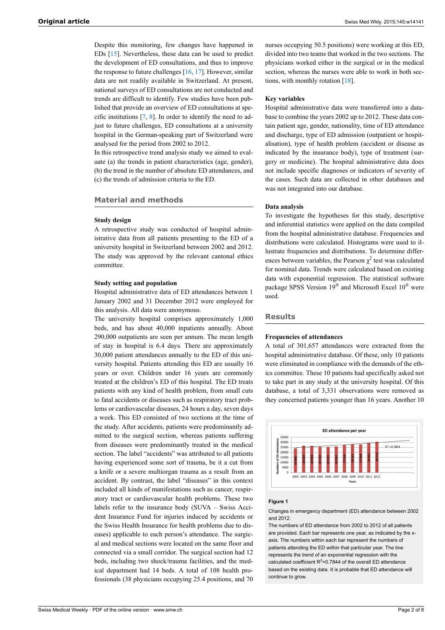Despite this monitoring, few changes have happened in EDs [[15\]](#page-5-13). Nevertheless, these data can be used to predict the development of ED consultations, and thus to improve the response to future challenges [\[16](#page-5-14), [17\]](#page-5-15). However, similar data are not readily available in Switzerland. At present, national surveys of ED consultations are not conducted and trends are difficult to identify. Few studies have been published that provide an overview of ED consultations at specific institutions [\[7,](#page-5-6) [8](#page-5-7)]. In order to identify the need to adjust to future challenges, ED consultations at a university hospital in the German-speaking part of Switzerland were analysed for the period from 2002 to 2012.

In this retrospective trend analysis study we aimed to evaluate (a) the trends in patient characteristics (age, gender), (b) the trend in the number of absolute ED attendances, and (c) the trends of admission criteria to the ED.

# **Material and methods**

#### **Study design**

A retrospective study was conducted of hospital administrative data from all patients presenting to the ED of a university hospital in Switzerland between 2002 and 2012. The study was approved by the relevant cantonal ethics committee.

#### **Study setting and population**

Hospital administrative data of ED attendances between 1 January 2002 and 31 December 2012 were employed for this analysis. All data were anonymous.

The university hospital comprises approximately 1,000 beds, and has about 40,000 inpatients annually. About 290,000 outpatients are seen per annum. The mean length of stay in hospital is 6.4 days. There are approximately 30,000 patient attendances annually to the ED of this university hospital. Patients attending this ED are usually 16 years or over. Children under 16 years are commonly treated at the children's ED of this hospital. The ED treats patients with any kind of health problem, from small cuts to fatal accidents or diseases such as respiratory tract problems or cardiovascular diseases, 24 hours a day, seven days a week. This ED consisted of two sections at the time of the study. After accidents, patients were predominantly admitted to the surgical section, whereas patients suffering from diseases were predominantly treated in the medical section. The label "accidents" was attributed to all patients having experienced some sort of trauma, be it a cut from a knife or a severe multiorgan trauma as a result from an accident. By contrast, the label "diseases" in this context included all kinds of manifestations such as cancer, respiratory tract or cardiovascular health problems. These two labels refer to the insurance body (SUVA – Swiss Accident Insurance Fund for injuries induced by accidents or the Swiss Health Insurance for health problems due to diseases) applicable to each person's attendance. The surgical and medical sections were located on the same floor and connected via a small corridor. The surgical section had 12 beds, including two shock/trauma facilities, and the medical department had 14 beds. A total of 108 health professionals (38 physicians occupying 25.4 positions, and 70

nurses occupying 50.5 positions) were working at this ED, divided into two teams that worked in the two sections. The physicians worked either in the surgical or in the medical section, whereas the nurses were able to work in both sections, with monthly rotation [\[18](#page-5-16)].

#### **Key variables**

Hospital administrative data were transferred into a database to combine the years 2002 up to 2012. These data contain patient age, gender, nationality, time of ED attendance and discharge, type of ED admission (outpatient or hospitalisation), type of health problem (accident or disease as indicated by the insurance body), type of treatment (surgery or medicine). The hospital administrative data does not include specific diagnoses or indicators of severity of the cases. Such data are collected in other databases and was not integrated into our database.

#### **Data analysis**

To investigate the hypotheses for this study, descriptive and inferential statistics were applied on the data compiled from the hospital administrative database. Frequencies and distributions were calculated. Histograms were used to illustrate frequencies and distributions. To determine differences between variables, the Pearson  $\chi^2$  test was calculated for nominal data. Trends were calculated based on existing data with exponential regression. The statistical software package SPSS Version 19<sup>®</sup> and Microsoft Excel 10<sup>®</sup> were used.

#### **Results**

#### **Frequencies of attendances**

A total of 301,657 attendances were extracted from the hospital administrative database. Of these, only 10 patients were eliminated in compliance with the demands of the ethics committee. These 10 patients had specifically asked not to take part in any study at the university hospital. Of this database, a total of 3,331 observations were removed as they concerned patients younger than 16 years. Another 10



#### **Figure 1**

Changes in emergency department (ED) attendance between 2002 and 2012.

The numbers of ED attendance from 2002 to 2012 of all patients are provided. Each bar represents one year, as indicated by the xaxis. The numbers within each bar represent the numbers of patients attending the ED within that particular year. The line represents the trend of an exponential regression with the calculated coefficient  $R^2$ =0.7844 of the overall ED attendance based on the existing data. It is probable that ED attendance will continue to grow.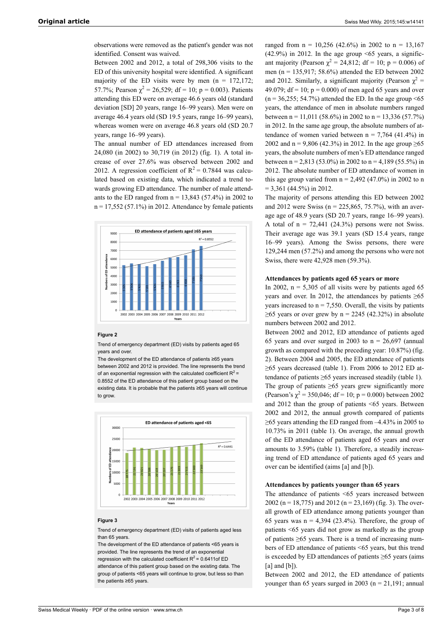observations were removed as the patient's gender was not identified. Consent was waived.

Between 2002 and 2012, a total of 298,306 visits to the ED of this university hospital were identified. A significant majority of the ED visits were by men  $(n = 172,172)$ ; 57.7%; Pearson  $\chi^2 = 26,529$ ; df = 10; p = 0.003). Patients attending this ED were on average 46.6 years old (standard deviation [SD] 20 years, range 16-99 years). Men were on average 46.4 years old (SD 19.5 years, range 16–99 years), whereas women were on average 46.8 years old (SD 20.7 years, range 16–99 years).

The annual number of ED attendances increased from 24,080 (in 2002) to 30,719 (in 2012) (fig. 1). A total increase of over 27.6% was observed between 2002 and 2012. A regression coefficient of  $R^2 = 0.7844$  was calculated based on existing data, which indicated a trend towards growing ED attendance. The number of male attendants to the ED ranged from  $n = 13,843$  (57.4%) in 2002 to  $n = 17,552$  (57.1%) in 2012. Attendance by female patients



#### **Figure 2**

Trend of emergency department (ED) visits by patients aged 65 years and over.

The development of the ED attendance of patients ≥65 years between 2002 and 2012 is provided. The line represents the trend of an exponential regression with the calculated coefficient  $R^2$  = 0.8552 of the ED attendance of this patient group based on the existing data. It is probable that the patients ≥65 years will continue to grow



#### **Figure 3**

Trend of emergency department (ED) visits of patients aged less than 65 years.

The development of the ED attendance of patients <65 years is provided. The line represents the trend of an exponential regression with the calculated coefficient  $R^2$  = 0.6411of ED attendance of this patient group based on the existing data. The group of patients <65 years will continue to grow, but less so than the patients ≥65 years.

ranged from  $n = 10,256$  (42.6%) in 2002 to  $n = 13,167$ (42.9%) in 2012. In the age group  $\leq 65$  years, a significant majority (Pearson  $\chi^2 = 24,812$ ; df = 10; p = 0.006) of men (n = 135,917; 58.6%) attended the ED between 2002 and 2012. Similarly, a significant majority (Pearson  $\chi^2$  = 49.079; df = 10;  $p = 0.000$ ) of men aged 65 years and over  $(n = 36,255; 54.7%)$  attended the ED. In the age group <65 years, the attendance of men in absolute numbers ranged between n = 11,011 (58.6%) in 2002 to n = 13,336 (57.7%) in 2012. In the same age group, the absolute numbers of attendance of women varied between  $n = 7,764$  (41.4%) in 2002 and n = 9,806 (42.3%) in 2012. In the age group  $\geq 65$ years, the absolute numbers of men's ED attendance ranged between n = 2,813 (53.0%) in 2002 to n = 4,189 (55.5%) in 2012. The absolute number of ED attendance of women in this age group varied from  $n = 2,492$  (47.0%) in 2002 to n  $= 3,361$  (44.5%) in 2012.

The majority of persons attending this ED between 2002 and 2012 were Swiss ( $n = 225,865,75.7%$ ), with an average age of 48.9 years (SD 20.7 years, range 16–99 years). A total of  $n = 72,441$  (24.3%) persons were not Swiss. Their average age was 39.1 years (SD 15.4 years, range 16‒99 years). Among the Swiss persons, there were 129,244 men (57.2%) and among the persons who were not Swiss, there were 42,928 men (59.3%).

#### **Attendances by patients aged 65 years or more**

In 2002,  $n = 5,305$  of all visits were by patients aged 65 years and over. In 2012, the attendances by patients  $\geq 65$ years increased to  $n = 7,550$ . Overall, the visits by patients  $\geq$ 65 years or over grew by n = 2245 (42.32%) in absolute numbers between 2002 and 2012.

Between 2002 and 2012, ED attendance of patients aged 65 years and over surged in 2003 to  $n = 26,697$  (annual growth as compared with the preceding year: 10.87%) (fig. 2). Between 2004 and 2005, the ED attendance of patients  $\geq$ 65 years decreased (table 1). From 2006 to 2012 ED attendance of patients ≥65 years increased steadily (table 1). The group of patients  $\geq 65$  years grew significantly more (Pearson's  $\chi^2$  = 350,046; df = 10; p = 0.000) between 2002 and 2012 than the group of patients <65 years. Between 2002 and 2012, the annual growth compared of patients  $\geq$ 65 years attending the ED ranged from  $-4.43\%$  in 2005 to 10.73% in 2011 (table 1). On average, the annual growth of the ED attendance of patients aged 65 years and over amounts to 3.59% (table 1). Therefore, a steadily increasing trend of ED attendance of patients aged 65 years and over can be identified (aims [a] and [b]).

#### **Attendances by patients younger than 65 years**

The attendance of patients <65 years increased between 2002 (n = 18,775) and 2012 (n = 23,169) (fig. 3). The overall growth of ED attendance among patients younger than 65 years was  $n = 4.394$  (23.4%). Therefore, the group of patients <65 years did not grow as markedly as the group of patients ≥65 years. There is a trend of increasing numbers of ED attendance of patients <65 years, but this trend is exceeded by ED attendances of patients ≥65 years (aims  $[a]$  and  $[b]$ ).

Between 2002 and 2012, the ED attendance of patients younger than 65 years surged in 2003 ( $n = 21,191$ ; annual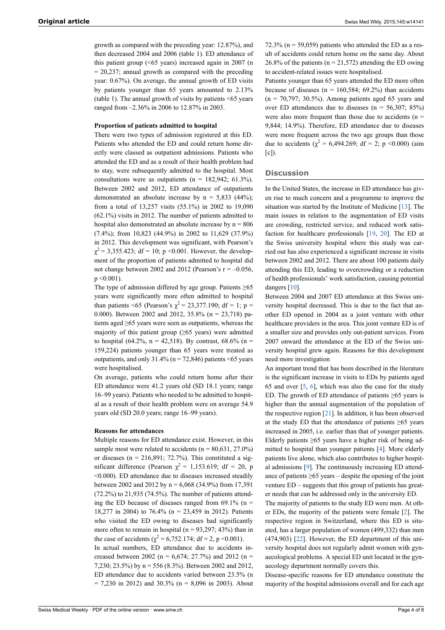growth as compared with the preceding year: 12.87%), and then decreased 2004 and 2006 (table 1). ED attendance of this patient group (<65 years) increased again in 2007 (n  $= 20,237$ ; annual growth as compared with the preceding year: 0.67%). On average, the annual growth of ED visits by patients younger than 65 years amounted to 2.13% (table 1). The annual growth of visits by patients <65 years ranged from –2.36% in 2006 to 12.87% in 2003.

#### **Proportion of patients admitted to hospital**

There were two types of admission registered at this ED. Patients who attended the ED and could return home directly were classed as outpatient admissions. Patients who attended the ED and as a result of their health problem had to stay, were subsequently admitted to the hospital. Most consultations were as outpatients ( $n = 182,942$ ; 61.3%). Between 2002 and 2012, ED attendance of outpatients demonstrated an absolute increase by  $n = 5,833$  (44%); from a total of 13,257 visits (55.1%) in 2002 to 19,090 (62.1%) visits in 2012. The number of patients admitted to hospital also demonstrated an absolute increase by  $n = 806$ (7.4%); from 10,823 (44.9%) in 2002 to 11,629 (37.9%) in 2012. This development was significant, with Pearson's  $\chi^2$  = 3,355.423; df = 10; p < 0.001. However, the development of the proportion of patients admitted to hospital did not change between 2002 and 2012 (Pearson's  $r = -0.056$ ,  $p \le 0.001$ ).

The type of admission differed by age group. Patients  $\geq 65$ years were significantly more often admitted to hospital than patients <65 (Pearson's  $\chi^2$  = 23,377.190; df = 1; p = 0.000). Between 2002 and 2012, 35.8% (n = 23,718) patients aged ≥65 years were seen as outpatients, whereas the majority of this patient group ( $\geq 65$  years) were admitted to hospital (64.2%, n = 42,518). By contrast, 68.6% (n = 159,224) patients younger than 65 years were treated as outpatients, and only  $31.4\%$  (n = 72,846) patients <65 years were hospitalised.

On average, patients who could return home after their ED attendance were 41.2 years old (SD 18.1 years; range 16‒99 years). Patients who needed to be admitted to hospital as a result of their health problem were on average 54.9 years old (SD 20.0 years; range 16-99 years).

#### **Reasons for attendances**

Multiple reasons for ED attendance exist. However, in this sample most were related to accidents ( $n = 80,631, 27.0\%$ ) or diseases ( $n = 216,891$ ; 72.7%). This constituted a significant difference (Pearson  $\chi^2 = 1,153.619$ ; df = 20, p <0.000). ED attendance due to diseases increased steadily between 2002 and 2012 by  $n = 6,068$  (34.9%) from 17,391 (72.2%) to 21,935 (74.5%). The number of patients attending the ED because of diseases ranged from  $69.1\%$  (n = 18,277 in 2004) to 76.4% (n = 23,459 in 2012). Patients who visited the ED owing to diseases had significantly more often to remain in hospital ( $n = 93,297; 43\%$ ) than in the case of accidents ( $\chi^2 = 6,752.174$ ; df = 2, p < 0.001). In actual numbers, ED attendance due to accidents increased between 2002 (n =  $6,674$ ; 27.7%) and 2012 (n = 7,230; 23.5%) by n = 556 (8.3%). Between 2002 and 2012, ED attendance due to accidents varied between 23.5% (n  $= 7,230$  in 2012) and 30.3% (n = 8,096 in 2003). About

72.3% ( $n = 59,059$ ) patients who attended the ED as a result of accidents could return home on the same day. About 26.8% of the patients ( $n = 21,572$ ) attending the ED owing to accident-related issues were hospitalised.

Patients younger than 65 years attended the ED more often because of diseases ( $n = 160,584$ ; 69.2%) than accidents  $(n = 70,797; 30.5%)$ . Among patients aged 65 years and over ED attendances due to diseases ( $n = 56,307; 85\%$ ) were also more frequent than those due to accidents ( $n =$ 9,844; 14.9%). Therefore, ED attendance due to diseases were more frequent across the two age groups than those due to accidents ( $\chi^2$  = 6,494.269; df = 2; p < 0.000) (aim  $[c]$ ).

#### **Discussion**

In the United States, the increase in ED attendance has given rise to much concern and a programme to improve the situation was started by the Institute of Medicine [\[13](#page-5-17)]. The main issues in relation to the augmentation of ED visits are crowding, restricted service, and reduced work satisfaction for healthcare professionals [\[19](#page-5-18), [20](#page-5-19)]. The ED at the Swiss university hospital where this study was carried out has also experienced a significant increase in visits between 2002 and 2012. There are about 100 patients daily attending this ED, leading to overcrowding or a reduction of health professionals' work satisfaction, causing potential dangers [[10\]](#page-5-9).

Between 2004 and 2007 ED attendance at this Swiss university hospital decreased. This is due to the fact that another ED opened in 2004 as a joint venture with other healthcare providers in the area. This joint venture ED is of a smaller size and provides only out-patient services. From 2007 onward the attendance at the ED of the Swiss university hospital grew again. Reasons for this development need more investigation

An important trend that has been described in the literature is the significant increase in visits to EDs by patients aged 6[5](#page-5-4) and over  $[5, 6]$  $[5, 6]$  $[5, 6]$ , which was also the case for the study ED. The growth of ED attendance of patients  $\geq 65$  years is higher than the annual augmentation of the population of the respective region [\[21](#page-5-20)]. In addition, it has been observed at the study ED that the attendance of patients  $\geq 65$  years increased in 2005, i.e. earlier than that of younger patients. Elderly patients  $\geq 65$  years have a higher risk of being admitted to hospital than younger patients [[4](#page-5-3)]. More elderly patients live alone, which also contributes to higher hospital admissions [\[9\]](#page-5-8). The continuously increasing ED attendance of patients ≥65 years – despite the opening of the joint venture ED – suggests that this group of patients has greater needs that can be addressed only in the university ED.

The majority of patients to the study ED were men. At other EDs, the majority of the patients were female [\[2\]](#page-5-1). The respective region in Switzerland, where this ED is situated, has a larger population of women (499,332) than men (474,903) [\[22](#page-5-21)]. However, the ED department of this university hospital does not regularly admit women with gynaecological problems. A special ED unit located in the gynaecology department normally covers this.

Disease-specific reasons for ED attendance constitute the majority of the hospital admissions overall and for each age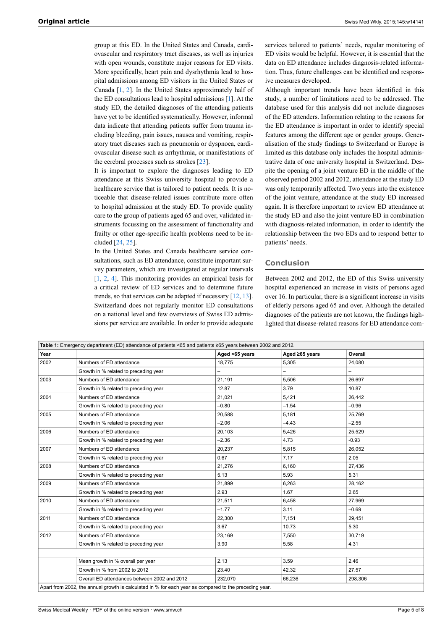group at this ED. In the United States and Canada, cardiovascular and respiratory tract diseases, as well as injuries with open wounds, constitute major reasons for ED visits. More specifically, heart pain and dysrhythmia lead to hospital admissions among ED visitors in the United States or Canada [\[1,](#page-5-0) [2](#page-5-1)]. In the United States approximately half of the ED consultations lead to hospital admissions [\[1\]](#page-5-0). At the study ED, the detailed diagnoses of the attending patients have yet to be identified systematically. However, informal data indicate that attending patients suffer from trauma including bleeding, pain issues, nausea and vomiting, respiratory tract diseases such as pneumonia or dyspnoea, cardiovascular disease such as arrhythmia, or manifestations of the cerebral processes such as strokes [\[23](#page-5-22)].

It is important to explore the diagnoses leading to ED attendance at this Swiss university hospital to provide a healthcare service that is tailored to patient needs. It is noticeable that disease-related issues contribute more often to hospital admission at the study ED. To provide quality care to the group of patients aged 65 and over, validated instruments focussing on the assessment of functionality and frailty or other age-specific health problems need to be included [\[24](#page-5-23), [25\]](#page-5-24).

In the United States and Canada healthcare service consultations, such as ED attendance, constitute important survey parameters, which are investigated at regular intervals [\[1,](#page-5-0) [2](#page-5-1), [4](#page-5-3)]. This monitoring provides an empirical basis for a critical review of ED services and to determine future trends, so that services can be adapted if necessary [[12,](#page-5-11) [13](#page-5-17)]. Switzerland does not regularly monitor ED consultations on a national level and few overviews of Swiss ED admissions per service are available. In order to provide adequate services tailored to patients' needs, regular monitoring of ED visits would be helpful. However, it is essential that the data on ED attendance includes diagnosis-related information. Thus, future challenges can be identified and responsive measures developed.

Although important trends have been identified in this study, a number of limitations need to be addressed. The database used for this analysis did not include diagnoses of the ED attenders. Information relating to the reasons for the ED attendance is important in order to identify special features among the different age or gender groups. Generalisation of the study findings to Switzerland or Europe is limited as this database only includes the hospital administrative data of one university hospital in Switzerland. Despite the opening of a joint venture ED in the middle of the observed period 2002 and 2012, attendance at the study ED was only temporarily affected. Two years into the existence of the joint venture, attendance at the study ED increased again. It is therefore important to review ED attendance at the study ED and also the joint venture ED in combination with diagnosis-related information, in order to identify the relationship between the two EDs and to respond better to patients' needs.

#### **Conclusion**

Between 2002 and 2012, the ED of this Swiss university hospital experienced an increase in visits of persons aged over 16. In particular, there is a significant increase in visits of elderly persons aged 65 and over. Although the detailed diagnoses of the patients are not known, the findings highlighted that disease-related reasons for ED attendance com-

| Table 1: Emergency department (ED) attendance of patients <65 and patients ≥65 years between 2002 and 2012. |                                              |                |                |         |  |  |
|-------------------------------------------------------------------------------------------------------------|----------------------------------------------|----------------|----------------|---------|--|--|
| Year                                                                                                        |                                              | Aged <65 years | Aged ≥65 years | Overall |  |  |
| 2002                                                                                                        | Numbers of ED attendance                     | 18,775         | 5,305          | 24,080  |  |  |
|                                                                                                             | Growth in % related to preceding year        |                |                |         |  |  |
| 2003                                                                                                        | Numbers of ED attendance                     | 21.191         | 5,506          | 26.697  |  |  |
|                                                                                                             | Growth in % related to preceding year        | 12.87          | 3.79           | 10.87   |  |  |
| 2004                                                                                                        | Numbers of ED attendance                     | 21,021         | 5,421          | 26,442  |  |  |
|                                                                                                             | Growth in % related to preceding year        | $-0.80$        | $-1.54$        | $-0.96$ |  |  |
| 2005                                                                                                        | Numbers of ED attendance                     | 20.588         | 5.181          | 25,769  |  |  |
|                                                                                                             | Growth in % related to preceding year        | $-2.06$        | $-4.43$        | $-2.55$ |  |  |
| 2006                                                                                                        | Numbers of ED attendance                     | 20,103         | 5,426          | 25,529  |  |  |
|                                                                                                             | Growth in % related to preceding year        | $-2.36$        | 4.73           | $-0.93$ |  |  |
| 2007                                                                                                        | Numbers of ED attendance                     | 20,237         | 5,815          | 26,052  |  |  |
|                                                                                                             | Growth in % related to preceding year        | 0.67           | 7.17           | 2.05    |  |  |
| 2008                                                                                                        | Numbers of ED attendance                     | 21.276         | 6,160          | 27,436  |  |  |
|                                                                                                             | Growth in % related to preceding year        | 5.13           | 5.93           | 5.31    |  |  |
| 2009                                                                                                        | Numbers of ED attendance                     | 21.899         | 6,263          | 28,162  |  |  |
|                                                                                                             | Growth in % related to preceding year        | 2.93           | 1.67           | 2.65    |  |  |
| 2010                                                                                                        | Numbers of ED attendance                     | 21,511         | 6,458          | 27,969  |  |  |
|                                                                                                             | Growth in % related to preceding year        | $-1.77$        | 3.11           | $-0.69$ |  |  |
| 2011                                                                                                        | Numbers of ED attendance                     | 22,300         | 7.151          | 29,451  |  |  |
|                                                                                                             | Growth in % related to preceding year        | 3.67           | 10.73          | 5.30    |  |  |
| 2012                                                                                                        | Numbers of ED attendance                     | 23,169         | 7,550          | 30,719  |  |  |
|                                                                                                             | Growth in % related to preceding year        | 3.90           | 5.58           | 4.31    |  |  |
|                                                                                                             |                                              |                |                |         |  |  |
|                                                                                                             | Mean growth in % overall per year            | 2.13           | 3.59           | 2.46    |  |  |
|                                                                                                             | Growth in % from 2002 to 2012                | 23.40          | 42.32          | 27.57   |  |  |
|                                                                                                             | Overall ED attendances between 2002 and 2012 | 232.070        | 66,236         | 298,306 |  |  |
| Apart from 2002, the annual growth is calculated in % for each year as compared to the preceding year.      |                                              |                |                |         |  |  |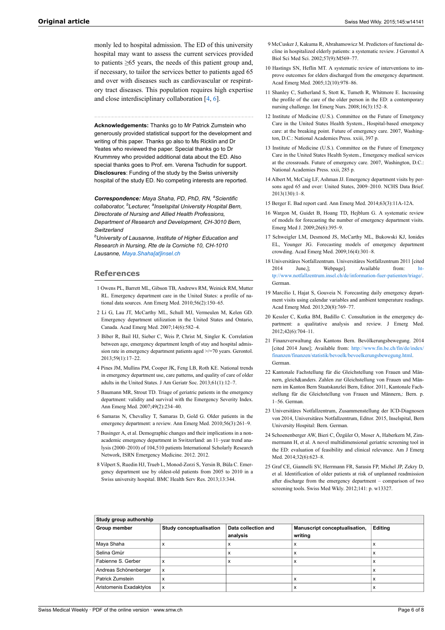<span id="page-5-9"></span><span id="page-5-8"></span>monly led to hospital admission. The ED of this university hospital may want to assess the current services provided to patients ≥65 years, the needs of this patient group and, if necessary, to tailor the services better to patients aged 65 and over with diseases such as cardiovascular or respiratory tract diseases. This population requires high expertise and close interdisciplinary collaboration [[4](#page-5-3), [6](#page-5-5)].

<span id="page-5-17"></span><span id="page-5-11"></span><span id="page-5-10"></span>**Acknowledgements:** Thanks go to Mr Patrick Zumstein who generously provided statistical support for the development and writing of this paper. Thanks go also to Ms Ricklin and Dr Yeates who reviewed the paper. Special thanks go to Dr Krummrey who provided additional data about the ED. Also special thanks goes to Prof. em. Verena Tschudin for support. **Disclosures**: Funding of the study by the Swiss university hospital of the study ED. No competing interests are reported.

<span id="page-5-14"></span><span id="page-5-13"></span><span id="page-5-12"></span>*Correspondence: Maya Shaha, PD, PhD, RN, <sup>a</sup>Scientific collaborator, b Lecturer, a Inselspital University Hospital Bern, Directorate of Nursing and Allied Health Professions, Department of Research and Development, CH-3010 Bern, Switzerland*

<span id="page-5-15"></span>*<sup>b</sup>University of Lausanne, Institute of Higher Education and Research in Nursing, Rte de la Corniche 10, CH-1010 Lausanne, [Maya.Shaha\[at\]insel.ch](mailto:Maya.Shaha@insel.ch)*

### <span id="page-5-16"></span><span id="page-5-0"></span>**References**

- <span id="page-5-18"></span>1 Owens PL, Barrett ML, Gibson TB, Andrews RM, Weinick RM, Mutter RL. Emergency department care in the United States: a profile of national data sources. Ann Emerg Med. 2010;56(2):150–65.
- <span id="page-5-19"></span><span id="page-5-1"></span>2 Li G, Lau JT, McCarthy ML, Schull MJ, Vermeulen M, Kelen GD. Emergency department utilization in the United States and Ontario, Canada. Acad Emerg Med. 2007;14(6):582–4.
- <span id="page-5-20"></span><span id="page-5-2"></span>3 Biber R, Bail HJ, Sieber C, Weis P, Christ M, Singler K. Correlation between age, emergency department length of stay and hospital admission rate in emergency department patients aged >/=70 years. Gerontol. 2013;59(1):17–22.
- <span id="page-5-21"></span><span id="page-5-3"></span>4 Pines JM, Mullins PM, Cooper JK, Feng LB, Roth KE. National trends in emergency department use, care patterns, and quality of care of older adults in the United States. J Am Geriatr Soc. 2013;61(1):12–7.
- <span id="page-5-4"></span>5 Baumann MR, Strout TD. Triage of geriatric patients in the emergency department: validity and survival with the Emergency Severity Index. Ann Emerg Med. 2007;49(2):234–40.
- <span id="page-5-22"></span><span id="page-5-5"></span>6 Samaras N, Chevalley T, Samaras D, Gold G. Older patients in the emergency department: a review. Ann Emerg Med. 2010;56(3):261–9.
- <span id="page-5-23"></span><span id="page-5-6"></span>7 Businger A, et al. Demographic changes and their implications in a nonacademic emergency department in Switzerland: an 11–year trend analysis (2000–2010) of 104,510 patients International Scholarly Research Network, ISRN Emergency Medicine. 2012. 2012.
- <span id="page-5-24"></span><span id="page-5-7"></span>8 Vilpert S, Ruedin HJ, Trueb L, Monod-Zorzi S, Yersin B, Büla C. Emergency department use by oldest-old patients from 2005 to 2010 in a Swiss university hospital. BMC Health Serv Res. 2013;13:344.
- 9 McCusker J, Kakuma R, Abrahamowicz M. Predictors of functional decline in hospitalized elderly patients: a systematic review. J Gerontol A Biol Sci Med Sci. 2002;57(9):M569–77.
- 10 Hastings SN, Heflin MT. A systematic review of interventions to improve outcomes for elders discharged from the emergency department. Acad Emerg Med. 2005;12(10):978–86.
- 11 Shanley C, Sutherland S, Stott K, Tumeth R, Whitmore E. Increasing the profile of the care of the older person in the ED: a contemporary nursing challenge. Int Emerg Nurs. 2008;16(3):152–8.
- 12 Institute of Medicine (U.S.). Committee on the Future of Emergency Care in the United States Health System., Hospital-based emergency care: at the breaking point. Future of emergency care. 2007, Washington, D.C.: National Academies Press. xxiii, 397 p.
- 13 Institute of Medicine (U.S.). Committee on the Future of Emergency Care in the United States Health System., Emergency medical services at the crossroads. Future of emergency care. 2007, Washington, D.C.: National Academies Press. xxii, 285 p.
- 14 Albert M, McCaig LF, Ashman JJ. Emergency department visits by persons aged 65 and over: United States, 2009–2010. NCHS Data Brief. 2013(130):1–8.
- 15 Berger E. Bad report card. Ann Emerg Med. 2014;63(3):11A-12A.
- 16 Wargon M, Guidet B, Hoang TD, Hejblum G. A systematic review of models for forecasting the number of emergency department visits. Emerg Med J. 2009;26(6):395–9.
- 17 Schweigler LM, Desmond JS, McCarthy ML, Bukowski KJ, Ionides EL, Younger JG. Forecasting models of emergency department crowding. Acad Emerg Med. 2009;16(4):301–8.
- 18 Universitäres Notfallzentrum. Universitäres Notfallzentrum 2011 [cited 2014 June,]; Webpage]. Available from: [tp://www.notfallzentrum.insel.ch/de/information-fuer-patienten/triage/](http://www.notfallzentrum.insel.ch/de/information-fuer-patienten/triage/). German.
- 19 Marcilio I, Hajat S, Gouveia N. Forecasting daily emergency department visits using calendar variables and ambient temperature readings. Acad Emerg Med. 2013;20(8):769–77.
- 20 Kessler C, Kutka BM, Badillo C. Consultation in the emergency department: a qualitative analysis and review. J Emerg Med. 2012;42(6):704–11.
- 21 Finanzverwaltung des Kantons Bern. Bevölkerungsbewegung. 2014 [cited 2014 June]; Available from: [http://www.fin.be.ch/fin/de/index/](http://www.fin.be.ch/fin/de/index/finanzen/finanzen/statistik/bevoelk/bevoelkerungsbewegung.html) [finanzen/finanzen/statistik/bevoelk/bevoelkerungsbewegung.html](http://www.fin.be.ch/fin/de/index/finanzen/finanzen/statistik/bevoelk/bevoelkerungsbewegung.html). German.
- 22 Kantonale Fachstellung für die Gleichstellung von Frauen und Männern, gleich&anders. Zahlen zur Gleichstellung von Frauen und Männern im Kanton Bern Staatskanzlei Bern, Editor. 2011, Kantonale Fachstellung für die Gleichstellung von Frauen und Männern,: Bern. p. 1–56. German.
- 23 Universitäres Notfallzentrum, Zusammenstellung der ICD-Diagnosen von 2014, Universitäres Notfallzentrum, Editor. 2015, Inselspital, Bern University Hospital: Bern. German.
- 24 Schoenenberger AW, Bieri C, Özgüler O, Moser A, Haberkern M, Zimmermann H, et al. A novel multidimensional geriatric screening tool in the ED: evaluation of feasibility and clinical relevance. Am J Emerg Med. 2014;32(6):623–8.
- 25 Graf CE, Giannelli SV, Herrmann FR, Sarasin FP, Michel JP, Zekry D, et al. Identification of older patients at risk of unplanned readmission after discharge from the emergency department – comparison of two screening tools. Swiss Med Wkly. 2012;141: p. w13327.

| Study group authorship  |                                |                                 |                                          |         |  |  |
|-------------------------|--------------------------------|---------------------------------|------------------------------------------|---------|--|--|
| <b>Group member</b>     | <b>Study conceptualisation</b> | Data collection and<br>analysis | Manuscript conceptualisation,<br>writing | Editing |  |  |
| Maya Shaha              | л                              | x                               | л                                        | x       |  |  |
| Selina Gmür             |                                | x                               | x                                        | x       |  |  |
| Fabienne S. Gerber      |                                | х                               | x                                        | x       |  |  |
| Andreas Schönenberger   | X                              |                                 |                                          | X       |  |  |
| <b>Patrick Zumstein</b> | $\boldsymbol{\lambda}$         |                                 | x                                        | X       |  |  |
| Aristomenis Exadaktylos | x                              |                                 | ᄉ                                        | л       |  |  |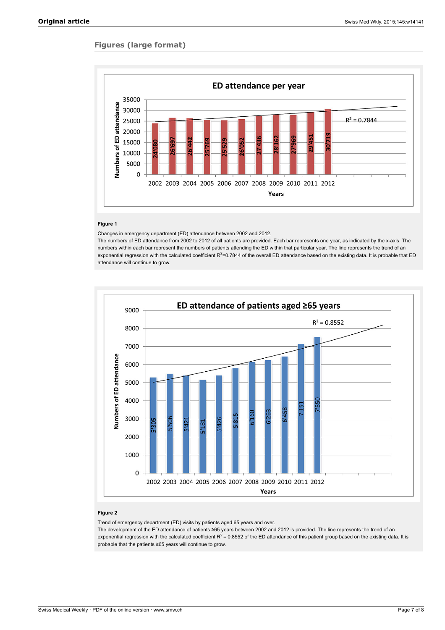# **Figures (large format)**



#### **Figure 1**

Changes in emergency department (ED) attendance between 2002 and 2012.

The numbers of ED attendance from 2002 to 2012 of all patients are provided. Each bar represents one year, as indicated by the x-axis. The numbers within each bar represent the numbers of patients attending the ED within that particular year. The line represents the trend of an exponential regression with the calculated coefficient R<sup>2</sup>=0.7844 of the overall ED attendance based on the existing data. It is probable that ED attendance will continue to grow.



# **Figure 2**

Trend of emergency department (ED) visits by patients aged 65 years and over.

The development of the ED attendance of patients ≥65 years between 2002 and 2012 is provided. The line represents the trend of an exponential regression with the calculated coefficient R<sup>2</sup> = 0.8552 of the ED attendance of this patient group based on the existing data. It is probable that the patients ≥65 years will continue to grow.